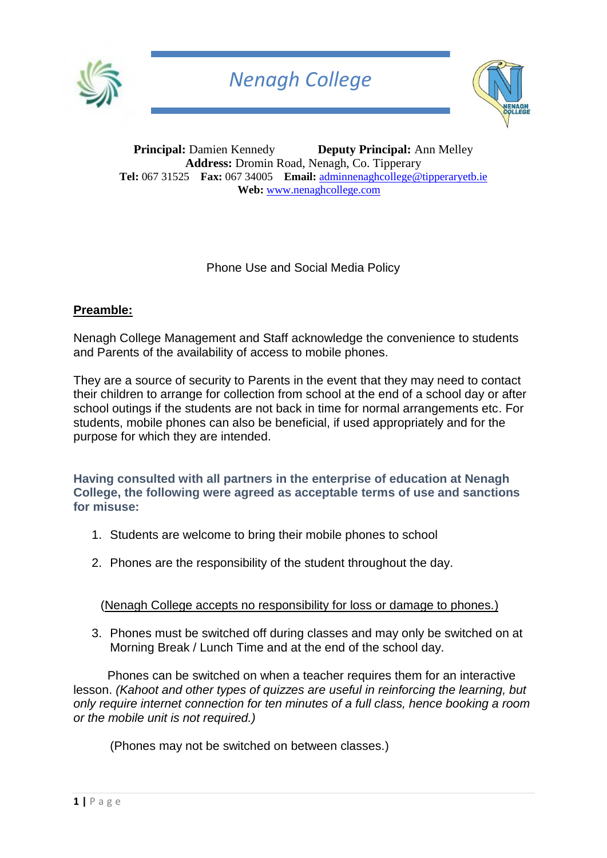



**Principal:** Damien Kennedy **Deputy Principal:** Ann Melley **Address:** Dromin Road, Nenagh, Co. Tipperary **Tel:** 067 31525 **Fax:** 067 34005 **Email:** [adminnenaghcollege@tipperaryetb.ie](mailto:adminnenaghcollege@tipperaryetb.ie)  **Web:** [www.nenaghcollege.com](http://www.nenaghcollege.com/)

Phone Use and Social Media Policy

### **Preamble:**

Nenagh College Management and Staff acknowledge the convenience to students and Parents of the availability of access to mobile phones.

They are a source of security to Parents in the event that they may need to contact their children to arrange for collection from school at the end of a school day or after school outings if the students are not back in time for normal arrangements etc. For students, mobile phones can also be beneficial, if used appropriately and for the purpose for which they are intended.

**Having consulted with all partners in the enterprise of education at Nenagh College, the following were agreed as acceptable terms of use and sanctions for misuse:**

- 1. Students are welcome to bring their mobile phones to school
- 2. Phones are the responsibility of the student throughout the day.

(Nenagh College accepts no responsibility for loss or damage to phones.)

3. Phones must be switched off during classes and may only be switched on at Morning Break / Lunch Time and at the end of the school day.

 Phones can be switched on when a teacher requires them for an interactive lesson. *(Kahoot and other types of quizzes are useful in reinforcing the learning, but only require internet connection for ten minutes of a full class, hence booking a room or the mobile unit is not required.)*

(Phones may not be switched on between classes.)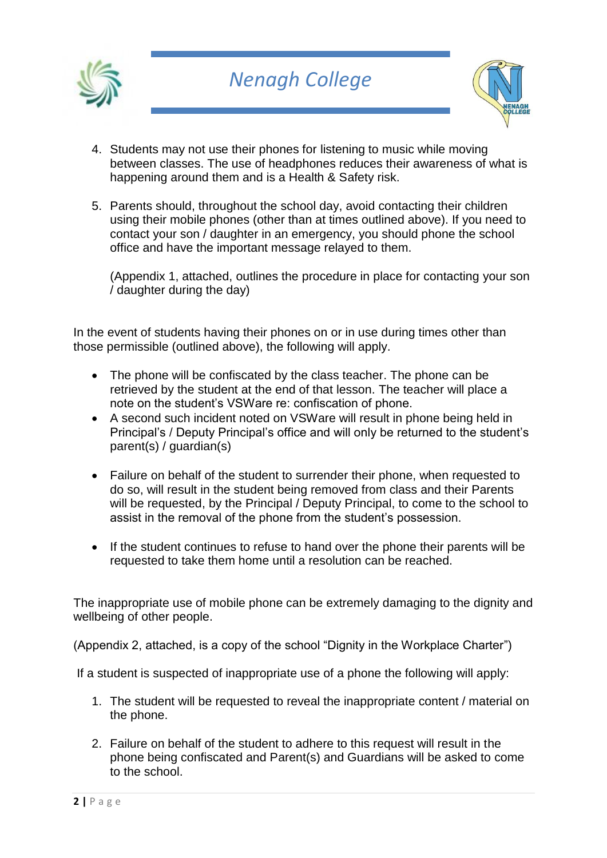



- 4. Students may not use their phones for listening to music while moving between classes. The use of headphones reduces their awareness of what is happening around them and is a Health & Safety risk.
- 5. Parents should, throughout the school day, avoid contacting their children using their mobile phones (other than at times outlined above). If you need to contact your son / daughter in an emergency, you should phone the school office and have the important message relayed to them.

(Appendix 1, attached, outlines the procedure in place for contacting your son / daughter during the day)

In the event of students having their phones on or in use during times other than those permissible (outlined above), the following will apply.

- The phone will be confiscated by the class teacher. The phone can be retrieved by the student at the end of that lesson. The teacher will place a note on the student's VSWare re: confiscation of phone.
- A second such incident noted on VSWare will result in phone being held in Principal's / Deputy Principal's office and will only be returned to the student's parent(s) / guardian(s)
- Failure on behalf of the student to surrender their phone, when requested to do so, will result in the student being removed from class and their Parents will be requested, by the Principal / Deputy Principal, to come to the school to assist in the removal of the phone from the student's possession.
- If the student continues to refuse to hand over the phone their parents will be requested to take them home until a resolution can be reached.

The inappropriate use of mobile phone can be extremely damaging to the dignity and wellbeing of other people.

(Appendix 2, attached, is a copy of the school "Dignity in the Workplace Charter")

If a student is suspected of inappropriate use of a phone the following will apply:

- 1. The student will be requested to reveal the inappropriate content / material on the phone.
- 2. Failure on behalf of the student to adhere to this request will result in the phone being confiscated and Parent(s) and Guardians will be asked to come to the school.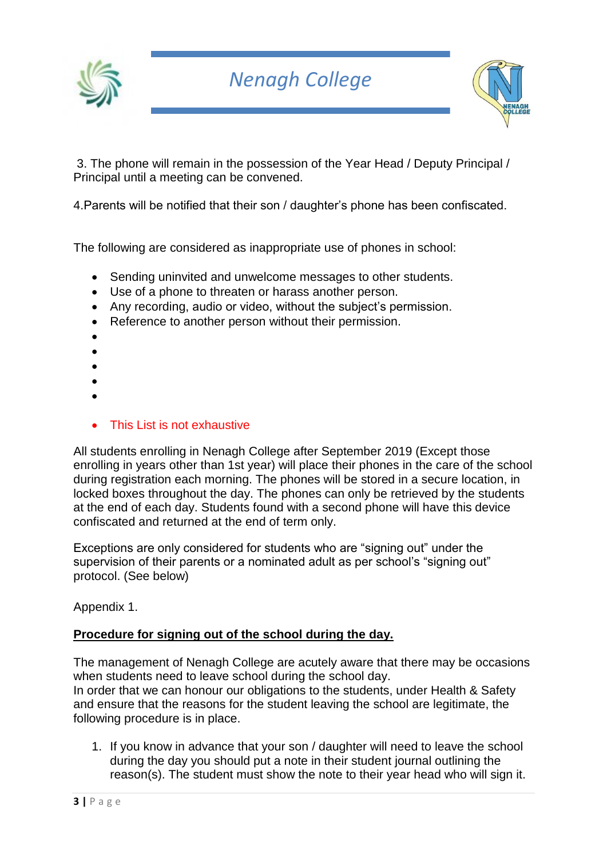



3. The phone will remain in the possession of the Year Head / Deputy Principal / Principal until a meeting can be convened.

4.Parents will be notified that their son / daughter's phone has been confiscated.

The following are considered as inappropriate use of phones in school:

- Sending uninvited and unwelcome messages to other students.
- Use of a phone to threaten or harass another person.
- Any recording, audio or video, without the subject's permission.
- Reference to another person without their permission.
- •
- •
- •
- •
- •
- This List is not exhaustive

All students enrolling in Nenagh College after September 2019 (Except those enrolling in years other than 1st year) will place their phones in the care of the school during registration each morning. The phones will be stored in a secure location, in locked boxes throughout the day. The phones can only be retrieved by the students at the end of each day. Students found with a second phone will have this device confiscated and returned at the end of term only.

Exceptions are only considered for students who are "signing out" under the supervision of their parents or a nominated adult as per school's "signing out" protocol. (See below)

Appendix 1.

## **Procedure for signing out of the school during the day.**

The management of Nenagh College are acutely aware that there may be occasions when students need to leave school during the school day. In order that we can honour our obligations to the students, under Health & Safety and ensure that the reasons for the student leaving the school are legitimate, the following procedure is in place.

1. If you know in advance that your son / daughter will need to leave the school during the day you should put a note in their student journal outlining the reason(s). The student must show the note to their year head who will sign it.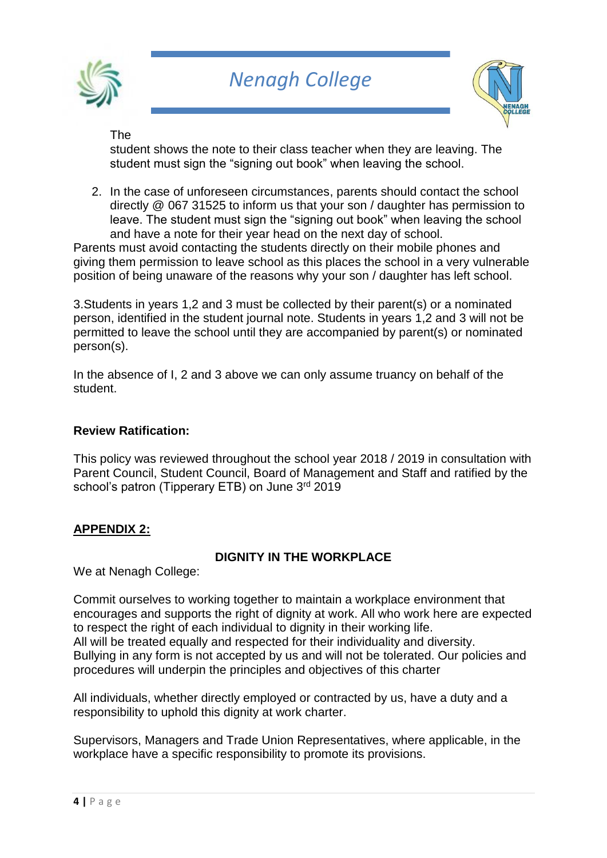



The

student shows the note to their class teacher when they are leaving. The student must sign the "signing out book" when leaving the school.

2. In the case of unforeseen circumstances, parents should contact the school directly @ 067 31525 to inform us that your son / daughter has permission to leave. The student must sign the "signing out book" when leaving the school and have a note for their year head on the next day of school.

Parents must avoid contacting the students directly on their mobile phones and giving them permission to leave school as this places the school in a very vulnerable position of being unaware of the reasons why your son / daughter has left school.

3.Students in years 1,2 and 3 must be collected by their parent(s) or a nominated person, identified in the student journal note. Students in years 1,2 and 3 will not be permitted to leave the school until they are accompanied by parent(s) or nominated person(s).

In the absence of I, 2 and 3 above we can only assume truancy on behalf of the student.

#### **Review Ratification:**

This policy was reviewed throughout the school year 2018 / 2019 in consultation with Parent Council, Student Council, Board of Management and Staff and ratified by the school's patron (Tipperary ETB) on June 3rd 2019

### **APPENDIX 2:**

### **DIGNITY IN THE WORKPLACE**

We at Nenagh College:

Commit ourselves to working together to maintain a workplace environment that encourages and supports the right of dignity at work. All who work here are expected to respect the right of each individual to dignity in their working life. All will be treated equally and respected for their individuality and diversity. Bullying in any form is not accepted by us and will not be tolerated. Our policies and procedures will underpin the principles and objectives of this charter

All individuals, whether directly employed or contracted by us, have a duty and a responsibility to uphold this dignity at work charter.

Supervisors, Managers and Trade Union Representatives, where applicable, in the workplace have a specific responsibility to promote its provisions.